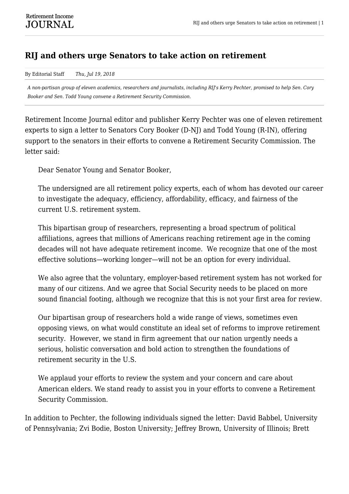## **RIJ and others urge Senators to take action on retirement**

By Editorial Staff *Thu, Jul 19, 2018*

*A non-partisan group of eleven academics, researchers and journalists, including RIJ's Kerry Pechter, promised to help Sen. Cory Booker and Sen. Todd Young convene a Retirement Security Commission.*

Retirement Income Journal editor and publisher Kerry Pechter was one of eleven retirement experts to sign a letter to Senators Cory Booker (D-NJ) and Todd Young (R-IN), offering support to the senators in their efforts to convene a Retirement Security Commission. The letter said:

Dear Senator Young and Senator Booker,

The undersigned are all retirement policy experts, each of whom has devoted our career to investigate the adequacy, efficiency, affordability, efficacy, and fairness of the current U.S. retirement system.

This bipartisan group of researchers, representing a broad spectrum of political affiliations, agrees that millions of Americans reaching retirement age in the coming decades will not have adequate retirement income. We recognize that one of the most effective solutions—working longer—will not be an option for every individual.

We also agree that the voluntary, employer-based retirement system has not worked for many of our citizens. And we agree that Social Security needs to be placed on more sound financial footing, although we recognize that this is not your first area for review.

Our bipartisan group of researchers hold a wide range of views, sometimes even opposing views, on what would constitute an ideal set of reforms to improve retirement security. However, we stand in firm agreement that our nation urgently needs a serious, holistic conversation and bold action to strengthen the foundations of retirement security in the U.S.

We applaud your efforts to review the system and your concern and care about American elders. We stand ready to assist you in your efforts to convene a Retirement Security Commission.

In addition to Pechter, the following individuals signed the letter: David Babbel, University of Pennsylvania; Zvi Bodie, Boston University; Jeffrey Brown, University of Illinois; Brett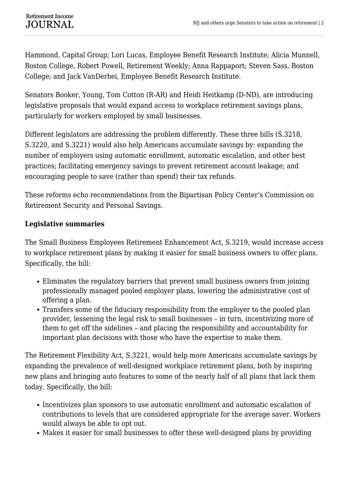Hammond, Capital Group; Lori Lucas, Employee Benefit Research Institute; Alicia Munnell, Boston College, Robert Powell, Retirement Weekly; Anna Rappaport; Steven Sass, Boston College; and Jack VanDerhei, Employee Benefit Research Institute.

Senators Booker, Young, Tom Cotton (R-AR) and Heidi Heitkamp (D-ND), are introducing legislative proposals that would expand access to workplace retirement savings plans, particularly for workers employed by small businesses.

Different legislators are addressing the problem differently. These three bills (S.3218, S.3220, and S.3221) would also help Americans accumulate savings by: expanding the number of employers using automatic enrollment, automatic escalation, and other best practices; facilitating emergency savings to prevent retirement account leakage; and encouraging people to save (rather than spend) their tax refunds.

These reforms echo recommendations from the Bipartisan Policy Center's Commission on Retirement Security and Personal Savings.

## **Legislative summaries**

The Small Business Employees Retirement Enhancement Act, S.3219, would increase access to workplace retirement plans by making it easier for small business owners to offer plans. Specifically, the bill:

- Eliminates the regulatory barriers that prevent small business owners from joining professionally managed pooled employer plans, lowering the administrative cost of offering a plan.
- Transfers some of the fiduciary responsibility from the employer to the pooled plan provider, lessening the legal risk to small businesses – in turn, incentivizing more of them to get off the sidelines – and placing the responsibility and accountability for important plan decisions with those who have the expertise to make them.

The Retirement Flexibility Act, S.3221, would help more Americans accumulate savings by expanding the prevalence of well-designed workplace retirement plans, both by inspiring new plans and bringing auto features to some of the nearly half of all plans that lack them today. Specifically, the bill:

- Incentivizes plan sponsors to use automatic enrollment and automatic escalation of contributions to levels that are considered appropriate for the average saver. Workers would always be able to opt out.
- Makes it easier for small businesses to offer these well-designed plans by providing